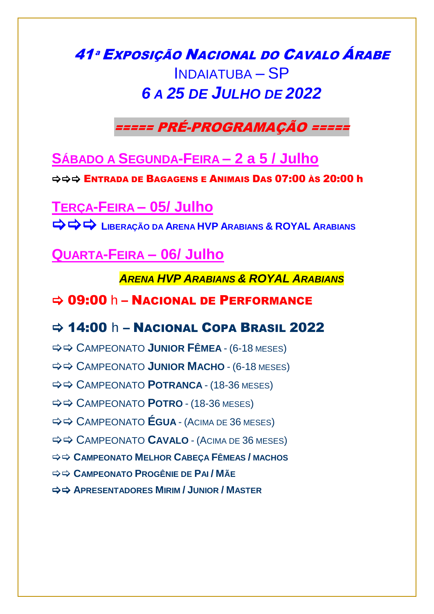# 41ª Exposição Nacional do Cavalo Árabe **INDAIATUBA - SP** 6 A 25 DE JULHO DE 2022

===== PRÉ-PROGRAMAÇÃO =====

SÁBADO A SEGUNDA-FEIRA - 2 a 5 / Julho

 $\Rightarrow$   $\Rightarrow$  Entrada de Bagagens e Animais Das 07:00 às 20:00 h

**TERCA-FEIRA - 05/ Julho → → LIBERACÃO DA ARENA HVP ARABIANS & ROYAL ARABIANS** 

**QUARTA-FEIRA - 06/ Julho** 

**ARENA HVP ARABIANS & ROYAL ARABIANS** 

#### $\Rightarrow$  09:00 h - Nacional DE PERFORMANCE

### $\Rightarrow$  14:00 h - Nacional Copa Brasil 2022

- $\Rightarrow$   $\Rightarrow$  CAMPEONATO JUNIOR FÊMEA (6-18 MESES)
- $\Rightarrow$   $\Rightarrow$  CAMPEONATO JUNIOR MACHO (6-18 MESES)
- $\Rightarrow$  $\Rightarrow$  **CAMPEONATO POTRANCA (18-36 MESES)**
- $\Rightarrow$  $\Rightarrow$  **CAMPEONATO POTRO (18-36 MESES)**
- $\Rightarrow$   $\Rightarrow$  CAMPEONATO **ÉGUA** (ACIMA DE 36 MESES)
- $\Rightarrow$   $\Rightarrow$  CAMPEONATO CAVALO (ACIMA DE 36 MESES)
- $\Rightarrow$   $\Rightarrow$  CAMPEONATO MELHOR CABECA FÊMEAS / MACHOS
- $\Rightarrow$  **> CAMPEONATO PROGÊNIE DF PAI/MÃF**
- $\Rightarrow$   $\Rightarrow$  APRESENTADORES MIRIM / JUNIOR / MASTER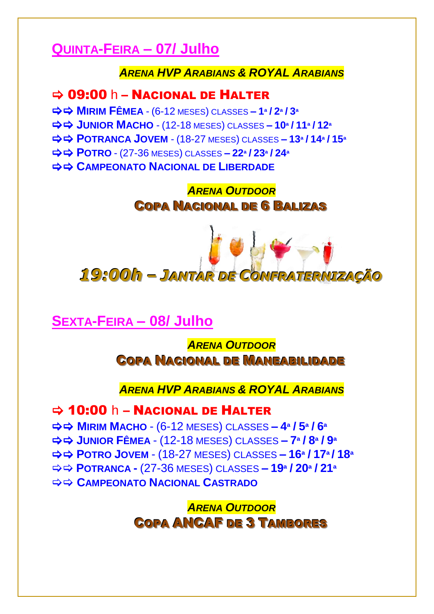## **QUINTA-FEIRA – 07/ Julho**

#### *ARENA HVP ARABIANS & ROYAL ARABIANS*

### $\Rightarrow$  09:00 h – NACIONAL DE HALTER

 **MIRIM FÊMEA** - (6-12 MESES) CLASSES **– 1ª / 2ª / 3<sup>ª</sup> JUNIOR MACHO** - (12-18 MESES) CLASSES **– 10ª / 11ª / 12<sup>ª</sup> POTRANCA JOVEM** - (18-27 MESES) CLASSES **– 13ª / 14ª / 15<sup>ª</sup> POTRO** - (27-36 MESES) CLASSES **– 22ª / 23ª / 24<sup>ª</sup> CAMPEONATO NACIONAL DE LIBERDADE** 

> *ARENA OUTDOOR* **COPA NACIONAL DE 6 BALIZAS**



### **SEXTA-FEIRA – 08/ Julho**

*ARENA OUTDOOR* **COPA NACIONAL DE MANEABILIDADE** 

#### *ARENA HVP ARABIANS & ROYAL ARABIANS*

 $\Rightarrow$  10:00 h – Nacional de Halter

 **MIRIM MACHO** - (6-12 MESES) CLASSES **– 4ª / 5ª / 6ª JUNIOR FÊMEA** - (12-18 MESES) CLASSES **– 7ª / 8ª / 9ª POTRO JOVEM** - (18-27 MESES) CLASSES **– 16ª / 17ª/ 18ª POTRANCA -** (27-36 MESES) CLASSES **– 19ª / 20ª / 21ª CAMPEONATO NACIONAL CASTRADO** 

> *ARENA OUTDOOR* **COPA ANCAF DE 3 TAMBORES**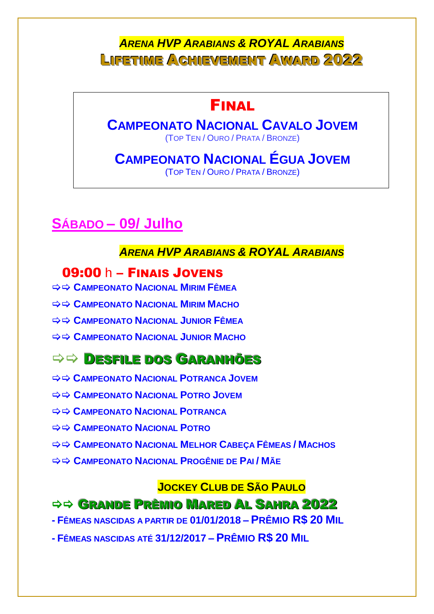### **ARENA HVP ARABIANS & ROYAL ARABIANS** LIFETIME ACHIEVEMENT AWARD 2022

# **FINAL**

# **CAMPEONATO NACIONAL CAVALO JOVEM**

(TOP TEN / OURO / PRATA / BRONZE)

#### **CAMPEONATO NACIONAL ÉGUA JOVEM** (TOP TEN / OURO / PRATA / BRONZE)

# SÁBADO - 09/ Julho

### **ARENA HVP ARABIANS & ROYAL ARABIANS**

### 09:00 h - FINAIS JOVENS

- $\Rightarrow$  $\Rightarrow$  **CAMPEONATO NACIONAL MIRIM FÊMEA**
- $\Rightarrow$   $\Rightarrow$  CAMPEONATO NACIONAL MIRIM MACHO
- $\Rightarrow$  $\Rightarrow$  **CAMPEONATO NACIONAL JUNIOR FÊMEA**
- $\Rightarrow$   $\Rightarrow$  CAMPEONATO NACIONAL JUNIOR MACHO

## $\Rightarrow$   $\Rightarrow$  DESFILE DOS GARANHÕES

- $\Rightarrow$  $\Rightarrow$  **CAMPEONATO NACIONAL POTRANCA JOVEM**
- $\Rightarrow$  $\Rightarrow$  **CAMPEONATO NACIONAL POTRO JOVEM**
- $\Rightarrow$  $\Rightarrow$  **CAMPEONATO NACIONAL POTRANCA**
- $\Rightarrow$  $\Rightarrow$  **CAMPEONATO NACIONAL POTRO**
- $\Rightarrow$   $\Rightarrow$  CAMPEONATO NACIONAL MELHOR CABECA FÊMEAS / MACHOS
- $\Rightarrow$   $\Rightarrow$  CAMPFONATO NACIONAL PROGÊNIF DE PALL MÃE

#### **JOCKEY CLUB DE SÃO PAULO**

### $\Rightarrow$  **<del>GRANDE</del> PRÊMIO MARED AL SAHRA 2022**

- Fêmeas nascidas a partir de 01/01/2018 Prêmio R\$ 20 Mil
- <u>- Fêmeas nascidas até 31/12/2017 Prêmio R\$ 20 Mil</u>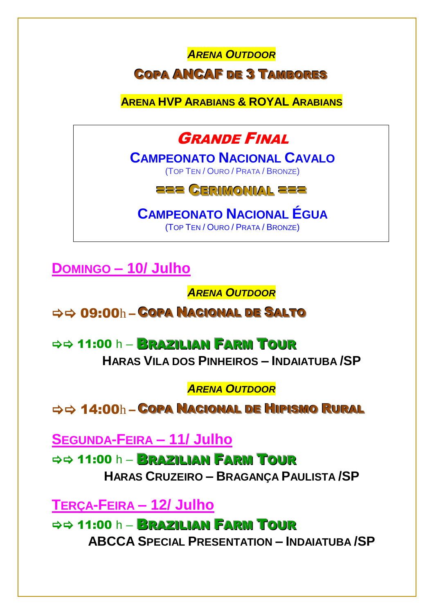# **ARENA OUTDOOR COPA ANCAF DE 3 TAMBORES**

**ARENA HVP ARABIANS & ROYAL ARABIANS** 

# **GRANDE FINAL**

**CAMPFONATO NACIONAL CAVALO** (TOP TEN / OURO / PRATA / BRONZE)

## **ZZZ CERIMONIAL ZZZ**

**CAMPEONATO NACIONAL ÉGUA** 

(TOP TEN / OURO / PRATA / BRONZE)

**DOMINGO - 10/ Julho** 

**ARENA OUTDOOR** 

 $\Rightarrow$   $\Rightarrow$  09:00h - COPA NACIONAL DE SALTO

 $\Rightarrow$  11:00 h – **BRAZILIAN FARM TOUR** HARAS VILA DOS PINHEIROS - INDAIATUBA / SP

**ARENA OUTDOOR** 

 $\Rightarrow$   $\Rightarrow$  14:00h – COPA NACIONAL DE HIPISMO RURAL

**SEGUNDA-FEIRA - 11/ Julho** 

 $\Rightarrow$  41:00 h - **BRAZILIAN FARM TOUR** HARAS CRUZEIRO - BRAGANÇA PAULISTA / SP

**TERCA-FEIRA - 12/ Julho** 

 $\Rightarrow$  11:00 h - BRAZILIAN FARM TOUR **ABCCA SPECIAL PRESENTATION - INDAIATUBA/SP**